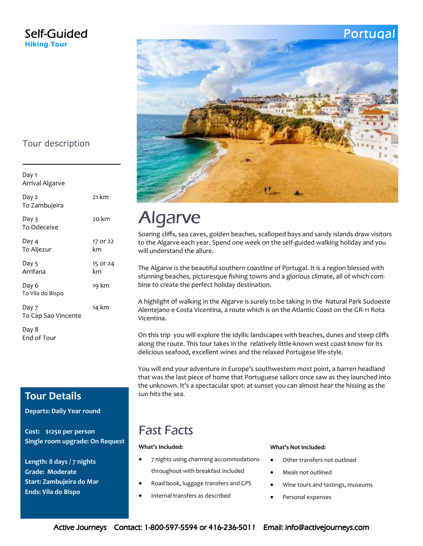### Self-Guided **Hiking Tour**

## Portugal



# Algarve

Soaring cliffs, sea caves, golden beaches, scalloped bays and sandy islands draw visitors to the Algarve each year. Spend one week on the self-guided walking holiday and you will understand the allure.

The Algarve is the beautiful southern coastline of Portugal. It is a region blessed with stunning beaches, picturesque fishing towns and a glorious climate, all of which combine to create the perfect holiday destination.

A highlight of walking in the Algarve is surely to be taking in the Natural Park Sudoeste Alentejano e Costa Vicentina, a route which is on the Atlantic Coast on the GR-11 Rota Vicentina.

On this trip you will explore the Idyllic landscapes with beaches, dunes and steep cliffs along the route. This tour takes in the relatively little-known west coast know for its delicious seafood, excellent wines and the relaxed Portugese life-style.

You will end your adventure in Europe's southwestern most point, a barren headland that was the last piece of home that Portuguese sailors once saw as they launched into the unknown. It's a spectacular spot: at sunset you can almost hear the hissing as the sun hits the sea.

## Fast Facts

#### **What's Included:**

- 7 nights using charming accommodations throughout with breakfast included
- Road book, luggage transfers and GPS
- Internal transfers as described

#### **What's Not Included:**

- Other transfers not outlined
- Meals not outlined
- Wine tours and tastings, museums
- Personal expenses

### Tour description

Day 1 Arrival Algarve Day 2 To Zambujeira 21 km Day 3 To Odeceixe 20 km Day 4 To Aljezur 17 or 22 km Day 5 Arrifana 15 or 24 km Day 6 To Vila do Bispo 19 km Day 7 To Cap Sao Vincente 14 km Day 8 End of Tour

## **Tour Details**

**Departs: Daily Year round** 

**Cost: \$1250 per person Single room upgrade: On Request** 

**Length: 8 days / 7 nights Grade: Moderate Start: Zambujeira do Mar Ends: Vila do Bispo**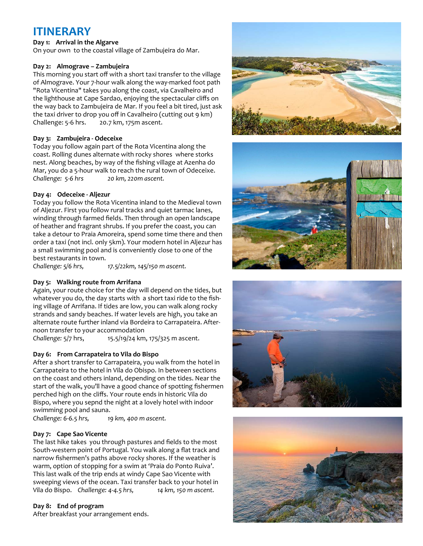## **ITINERARY**

#### **Day 1: Arrival in the Algarve**

On your own to the coastal village of Zambujeira do Mar.

#### **Day 2: Almograve – Zambujeira**

This morning you start off with a short taxi transfer to the village of Almograve. Your 7-hour walk along the way-marked foot path "Rota Vicentina" takes you along the coast, via Cavalheiro and the lighthouse at Cape Sardao, enjoying the spectacular cliffs on the way back to Zambujeira de Mar. If you feel a bit tired, just ask the taxi driver to drop you off in Cavalheiro (cutting out 9 km) Challenge: 5-6 hrs. 20.7 km, 175m ascent.

#### **Day 3: Zambujeira - Odeceixe**

Today you follow again part of the Rota Vicentina along the coast. Rolling dunes alternate with rocky shores where storks nest. Along beaches, by way of the fishing village at Azenha do Mar, you do a 5-hour walk to reach the rural town of Odeceixe. *Challenge: 5-6 hrs 20 km, 220m ascent.*

#### **Day 4: Odeceixe - Aljezur**

Today you follow the Rota Vicentina inland to the Medieval town of Aljezur. First you follow rural tracks and quiet tarmac lanes, winding through farmed fields. Then through an open landscape of heather and fragrant shrubs. If you prefer the coast, you can take a detour to Praia Amoreira, spend some time there and then order a taxi (not incl. only 5km). Your modern hotel in Aljezur has a small swimming pool and is conveniently close to one of the best restaurants in town.

*Challenge: 5/6 hrs, 17.5/22km, 145/150 m ascent.* 

#### **Day 5: Walking route from Arrifana**

Again, your route choice for the day will depend on the tides, but whatever you do, the day starts with a short taxi ride to the fishing village of Arrifana. If tides are low, you can walk along rocky strands and sandy beaches. If water levels are high, you take an alternate route further inland via Bordeira to Carrapateira. Afternoon transfer to your accommodation

*Challenge:* 5/7 hrs, 15.5/19/24 km, 175/325 m ascent.

#### **Day 6: From Carrapateira to Vila do Bispo**

After a short transfer to Carrapateira, you walk from the hotel in Carrapateira to the hotel in Vila do Obispo. In between sections on the coast and others inland, depending on the tides. Near the start of the walk, you'll have a good chance of spotting fishermen perched high on the cliffs. Your route ends in historic Vila do Bispo, where you sepnd the night at a lovely hotel with indoor swimming pool and sauna.

*Challenge: 6-6.5 hrs, 19 km, 400 m ascent.* 

#### **Day 7: Cape Sao Vicente**

The last hike takes you through pastures and fields to the most South-western point of Portugal. You walk along a flat track and narrow fishermen's paths above rocky shores. If the weather is warm, option of stopping for a swim at 'Praia do Ponto Ruiva'. This last walk of the trip ends at windy Cape Sao Vicente with sweeping views of the ocean. Taxi transfer back to your hotel in Vila do Bispo. *Challenge: 4-4.5 hrs, 14 km, 150 m ascent.* 

#### **Day 8: End of program**

After breakfast your arrangement ends.